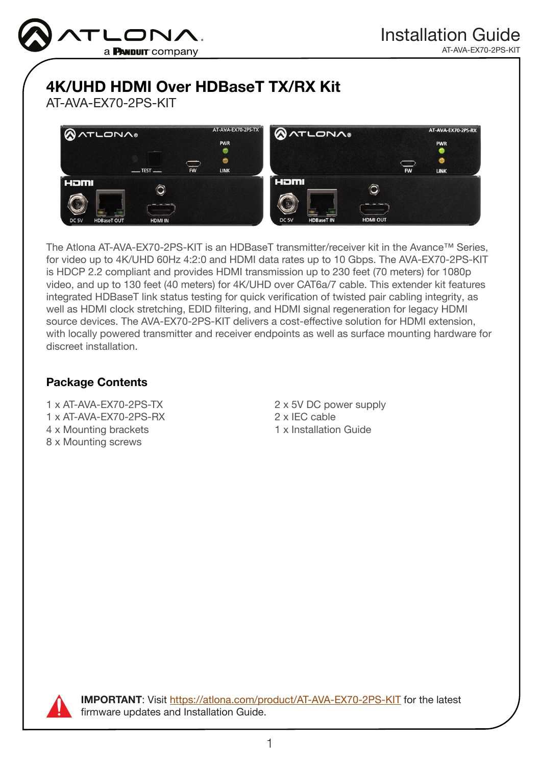

# 4K/UHD HDMI Over HDBaseT TX/RX Kit

AT-AVA-EX70-2PS-KIT



The Atlona AT-AVA-EX70-2PS-KIT is an HDBaseT transmitter/receiver kit in the Avance™ Series, for video up to 4K/UHD 60Hz 4:2:0 and HDMI data rates up to 10 Gbps. The AVA-EX70-2PS-KIT is HDCP 2.2 compliant and provides HDMI transmission up to 230 feet (70 meters) for 1080p video, and up to 130 feet (40 meters) for 4K/UHD over CAT6a/7 cable. This extender kit features integrated HDBaseT link status testing for quick verification of twisted pair cabling integrity, as well as HDMI clock stretching, EDID filtering, and HDMI signal regeneration for legacy HDMI source devices. The AVA-EX70-2PS-KIT delivers a cost-effective solution for HDMI extension, with locally powered transmitter and receiver endpoints as well as surface mounting hardware for discreet installation.

# Package Contents

1 x AT-AVA-EX70-2PS-TX 1 x AT-AVA-EX70-2PS-RX 4 x Mounting brackets 8 x Mounting screws

2 x 5V DC power supply 2 x IEC cable 1 x Installation Guide



IMPORTANT: Visit [https://atlona.com/product/AT-AVA-EX70-2PS-KIT](http://www.atlona.com/product/AT-AVA-EX70-2PS-KIT) for the latest firmware updates and Installation Guide.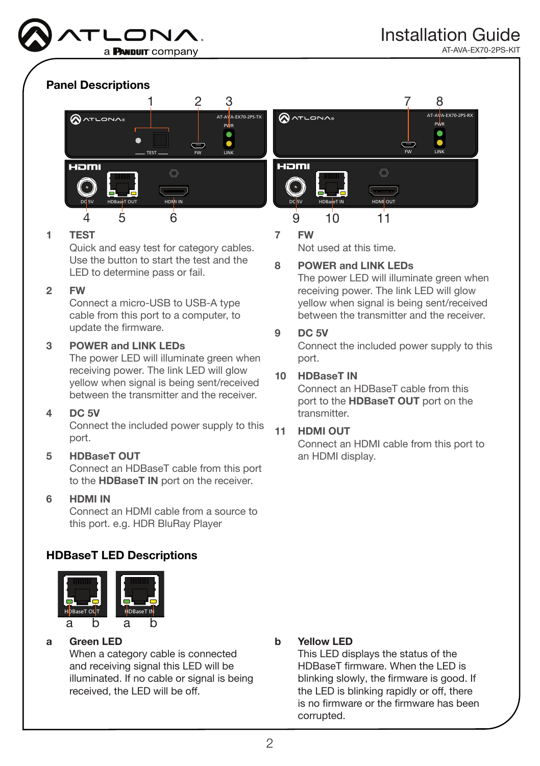

# Panel Descriptions



#### 1 TEST

Quick and easy test for category cables. Use the button to start the test and the LED to determine pass or fail.

#### 2 FW

Connect a micro-USB to USB-A type cable from this port to a computer, to update the firmware.

#### 3 POWER and LINK LEDs

The power LED will illuminate green when receiving power. The link LED will glow yellow when signal is being sent/received between the transmitter and the receiver.

#### 4 DC 5V

Connect the included power supply to this port.

#### 5 HDBaseT OUT

Connect an HDBaseT cable from this port to the HDBaseT IN port on the receiver.

#### 6 HDMI IN

 $\sim$ Connect an HDMI cable from a source to this port. e.g. HDR BluRay Player

### HDBaseT LED Descriptions



#### a Green LED

When a category cable is connected and receiving signal this LED will be illuminated. If no cable or signal is being received, the LED will be off.

#### 7 FW

Not used at this time.

#### 8 POWER and LINK LEDs

The power LED will illuminate green when receiving power. The link LED will glow yellow when signal is being sent/received between the transmitter and the receiver.

#### 9 DC 5V

Connect the included power supply to this port.

#### 10 HDBaseT IN

Connect an HDBaseT cable from this port to the HDBaseT OUT port on the transmitter.

#### 11 HDMI OUT

Connect an HDMI cable from this port to an HDMI display.

#### b Yellow LED

This LED displays the status of the HDBaseT firmware. When the LED is blinking slowly, the firmware is good. If the LED is blinking rapidly or off, there is no firmware or the firmware has been corrupted.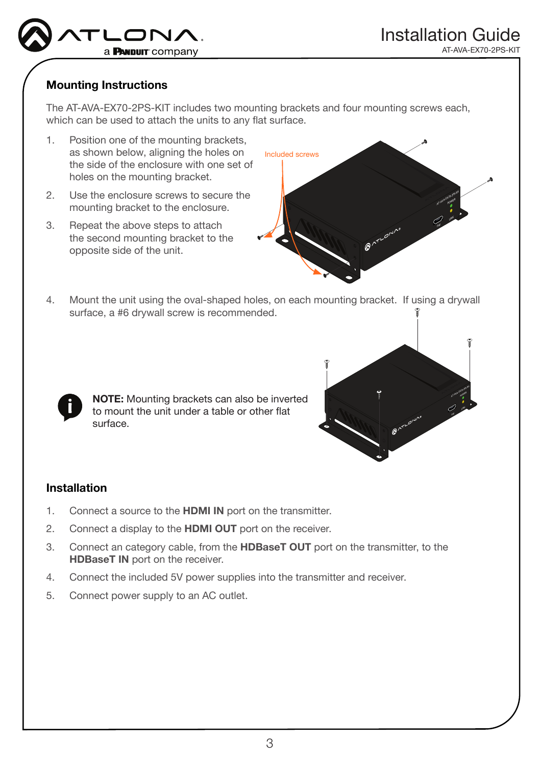

## Mounting Instructions

The AT-AVA-EX70-2PS-KIT includes two mounting brackets and four mounting screws each, which can be used to attach the units to any flat surface.

- 1. Position one of the mounting brackets, as shown below, aligning the holes on the side of the enclosure with one set of holes on the mounting bracket.
- 2. Use the enclosure screws to secure the mounting bracket to the enclosure.
- 3. Repeat the above steps to attach the second mounting bracket to the opposite side of the unit.



4. Mount the unit using the oval-shaped holes, on each mounting bracket. If using a drywall surface, a #6 drywall screw is recommended.



NOTE: Mounting brackets can also be inverted to mount the unit under a table or other flat surface.



#### Installation

- 1. Connect a source to the **HDMI IN** port on the transmitter.
- 2. Connect a display to the **HDMI OUT** port on the receiver.
- 3. Connect an category cable, from the HDBaseT OUT port on the transmitter, to the **HDBaseT IN** port on the receiver.
- 4. Connect the included 5V power supplies into the transmitter and receiver.
- 5. Connect power supply to an AC outlet.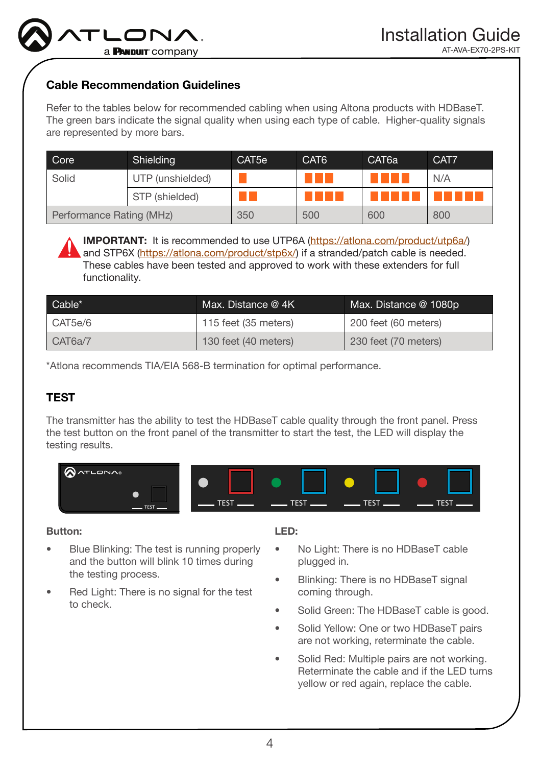# Cable Recommendation Guidelines

Refer to the tables below for recommended cabling when using Altona products with HDBaseT. The green bars indicate the signal quality when using each type of cable. Higher-quality signals are represented by more bars.

| Core                     | Shielding        | CAT <sub>5e</sub> | CAT <sub>6</sub> | CAT <sub>6a</sub> | CAT7 |
|--------------------------|------------------|-------------------|------------------|-------------------|------|
| Solid                    | UTP (unshielded) |                   |                  |                   | N/A  |
|                          | STP (shielded)   |                   |                  |                   |      |
| Performance Rating (MHz) |                  | 350               | 500              | 600               | 800  |

IMPORTANT: It is recommended to use UTP6A [\(https://atlona.com/product/utp6a/](https://atlona.com/product/utp6a/)) and STP6X (<https://atlona.com/product/stp6x/>) if a stranded/patch cable is needed. These cables have been tested and approved to work with these extenders for full functionality.

| Cable*  | Max. Distance @ 4K   | Max. Distance @ 1080p |
|---------|----------------------|-----------------------|
| CAT5e/6 | 115 feet (35 meters) | 200 feet (60 meters)  |
| CAT6a/7 | 130 feet (40 meters) | 230 feet (70 meters)  |

\*Atlona recommends TIA/EIA 568-B termination for optimal performance.

# TEST

The transmitter has the ability to test the HDBaseT cable quality through the front panel. Press the test button on the front panel of the transmitter to start the test, the LED will display the testing results.



#### Button:

- Blue Blinking: The test is running properly and the button will blink 10 times during the testing process.
- Red Light: There is no signal for the test to check.

#### LED:

- No Light: There is no HDBaseT cable plugged in.
- Blinking: There is no HDBaseT signal coming through.
- Solid Green: The HDBaseT cable is good.
- Solid Yellow: One or two HDBaseT pairs are not working, reterminate the cable.
- Solid Red: Multiple pairs are not working. Reterminate the cable and if the LED turns yellow or red again, replace the cable.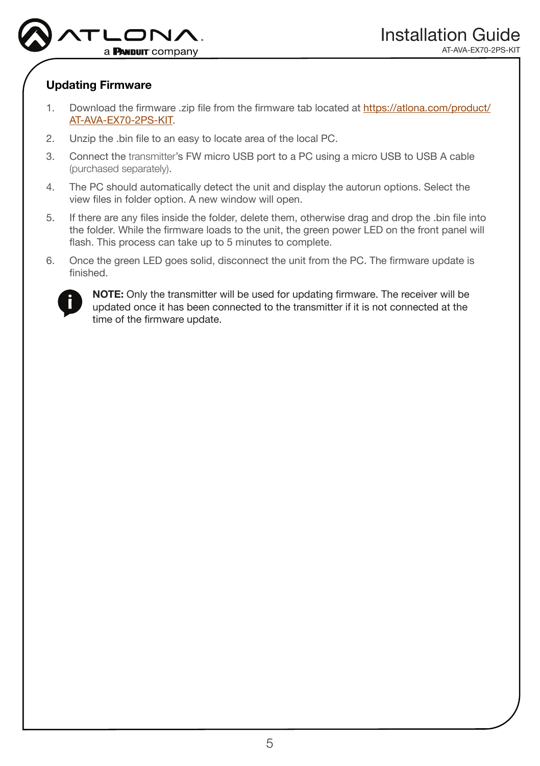

## Updating Firmware

- 1. Download the firmware .zip file from the firmware tab located at [https://atlona.com/product/](https://atlona.com/product/AT-AVA-EX70-2PS-KIT) [AT-AVA-EX70-2PS-KIT](https://atlona.com/product/AT-AVA-EX70-2PS-KIT).
- 2. Unzip the .bin file to an easy to locate area of the local PC.
- 3. Connect the transmitter's FW micro USB port to a PC using a micro USB to USB A cable (purchased separately).
- 4. The PC should automatically detect the unit and display the autorun options. Select the view files in folder option. A new window will open.
- 5. If there are any files inside the folder, delete them, otherwise drag and drop the .bin file into the folder. While the firmware loads to the unit, the green power LED on the front panel will flash. This process can take up to 5 minutes to complete.
- 6. Once the green LED goes solid, disconnect the unit from the PC. The firmware update is finished.



NOTE: Only the transmitter will be used for updating firmware. The receiver will be updated once it has been connected to the transmitter if it is not connected at the time of the firmware update.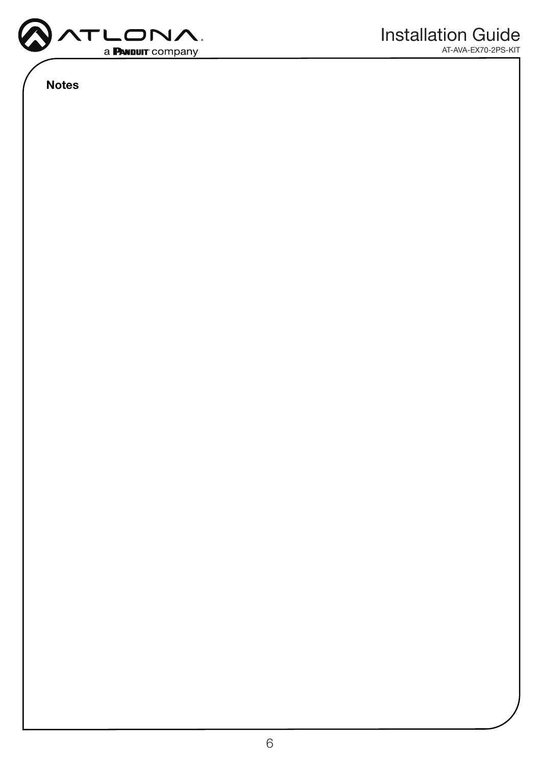

Notes

AT-AVA-EX70-2PS-KIT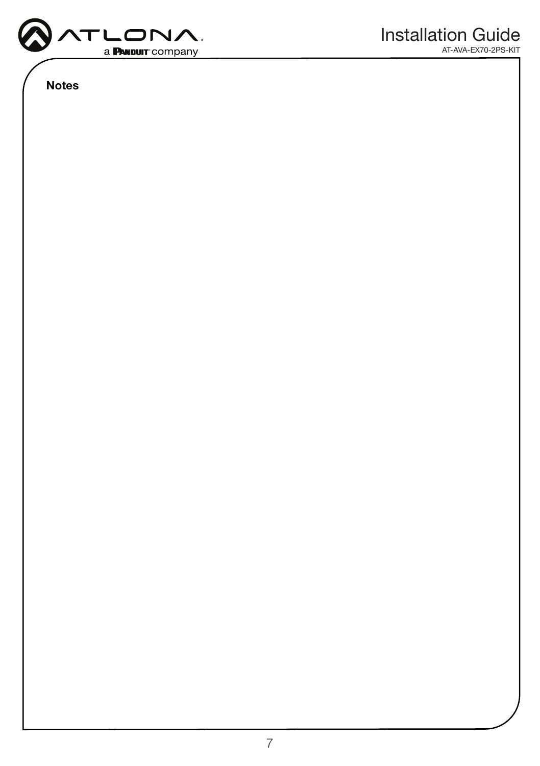

Notes

AT-AVA-EX70-2PS-KIT